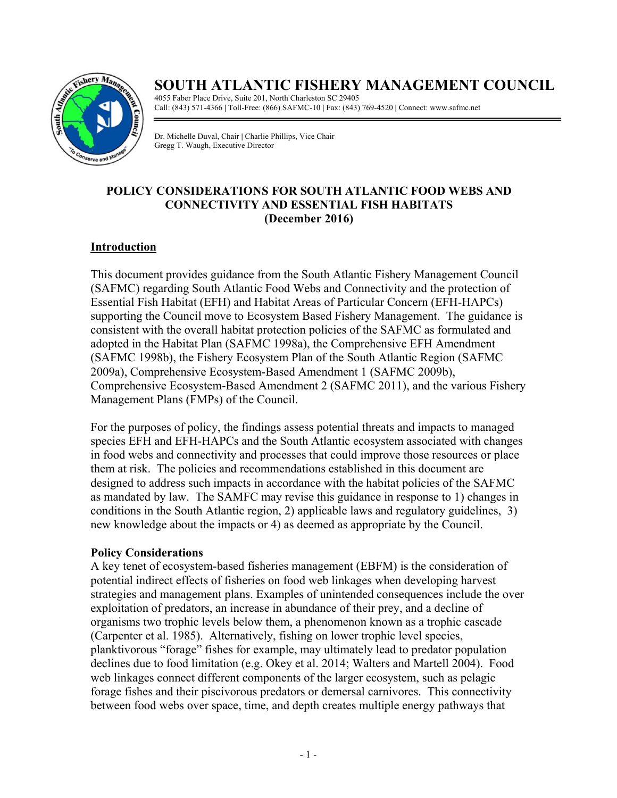

# **SOUTH ATLANTIC FISHERY MANAGEMENT COUNCIL**

4055 Faber Place Drive, Suite 201, North Charleston SC 29405 Call: (843) 571-4366 **|** Toll-Free: (866) SAFMC-10 **|** Fax: (843) 769-4520 **|** Connect: www.safmc.net

Dr. Michelle Duval, Chair **|** Charlie Phillips, Vice Chair Gregg T. Waugh, Executive Director

# **POLICY CONSIDERATIONS FOR SOUTH ATLANTIC FOOD WEBS AND CONNECTIVITY AND ESSENTIAL FISH HABITATS (December 2016)**

# **Introduction**

This document provides guidance from the South Atlantic Fishery Management Council (SAFMC) regarding South Atlantic Food Webs and Connectivity and the protection of Essential Fish Habitat (EFH) and Habitat Areas of Particular Concern (EFH-HAPCs) supporting the Council move to Ecosystem Based Fishery Management. The guidance is consistent with the overall habitat protection policies of the SAFMC as formulated and adopted in the Habitat Plan (SAFMC 1998a), the Comprehensive EFH Amendment (SAFMC 1998b), the Fishery Ecosystem Plan of the South Atlantic Region (SAFMC 2009a), Comprehensive Ecosystem-Based Amendment 1 (SAFMC 2009b), Comprehensive Ecosystem-Based Amendment 2 (SAFMC 2011), and the various Fishery Management Plans (FMPs) of the Council.

For the purposes of policy, the findings assess potential threats and impacts to managed species EFH and EFH-HAPCs and the South Atlantic ecosystem associated with changes in food webs and connectivity and processes that could improve those resources or place them at risk. The policies and recommendations established in this document are designed to address such impacts in accordance with the habitat policies of the SAFMC as mandated by law. The SAMFC may revise this guidance in response to 1) changes in conditions in the South Atlantic region, 2) applicable laws and regulatory guidelines, 3) new knowledge about the impacts or 4) as deemed as appropriate by the Council.

# **Policy Considerations**

A key tenet of ecosystem-based fisheries management (EBFM) is the consideration of potential indirect effects of fisheries on food web linkages when developing harvest strategies and management plans. Examples of unintended consequences include the over exploitation of predators, an increase in abundance of their prey, and a decline of organisms two trophic levels below them, a phenomenon known as a trophic cascade (Carpenter et al. 1985). Alternatively, fishing on lower trophic level species, planktivorous "forage" fishes for example, may ultimately lead to predator population declines due to food limitation (e.g. Okey et al. 2014; Walters and Martell 2004). Food web linkages connect different components of the larger ecosystem, such as pelagic forage fishes and their piscivorous predators or demersal carnivores. This connectivity between food webs over space, time, and depth creates multiple energy pathways that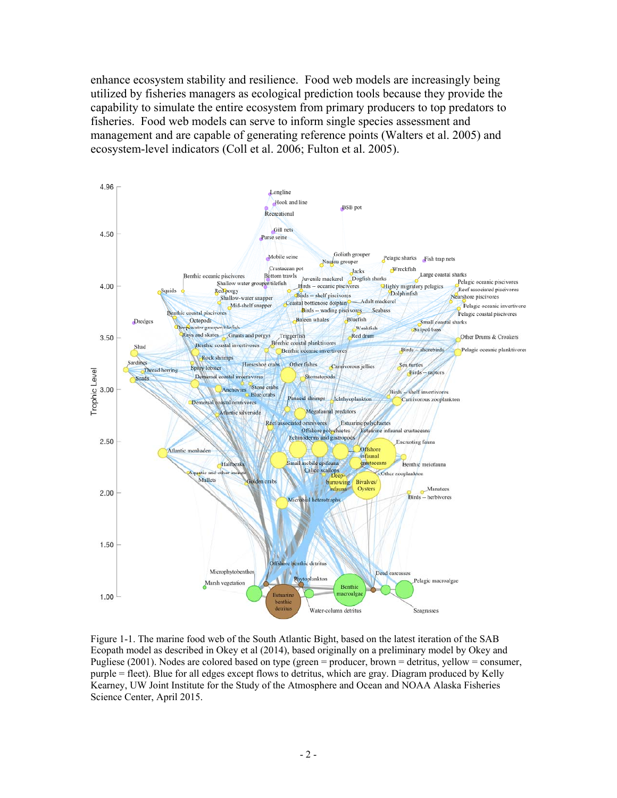enhance ecosystem stability and resilience. Food web models are increasingly being utilized by fisheries managers as ecological prediction tools because they provide the capability to simulate the entire ecosystem from primary producers to top predators to fisheries. Food web models can serve to inform single species assessment and management and are capable of generating reference points (Walters et al. 2005) and ecosystem-level indicators (Coll et al. 2006; Fulton et al. 2005).



Figure 1-1. The marine food web of the South Atlantic Bight, based on the latest iteration of the SAB Ecopath model as described in Okey et al (2014), based originally on a preliminary model by Okey and Pugliese (2001). Nodes are colored based on type (green = producer, brown = detritus, yellow = consumer, purple = fleet). Blue for all edges except flows to detritus, which are gray. Diagram produced by Kelly Kearney, UW Joint Institute for the Study of the Atmosphere and Ocean and NOAA Alaska Fisheries Science Center, April 2015.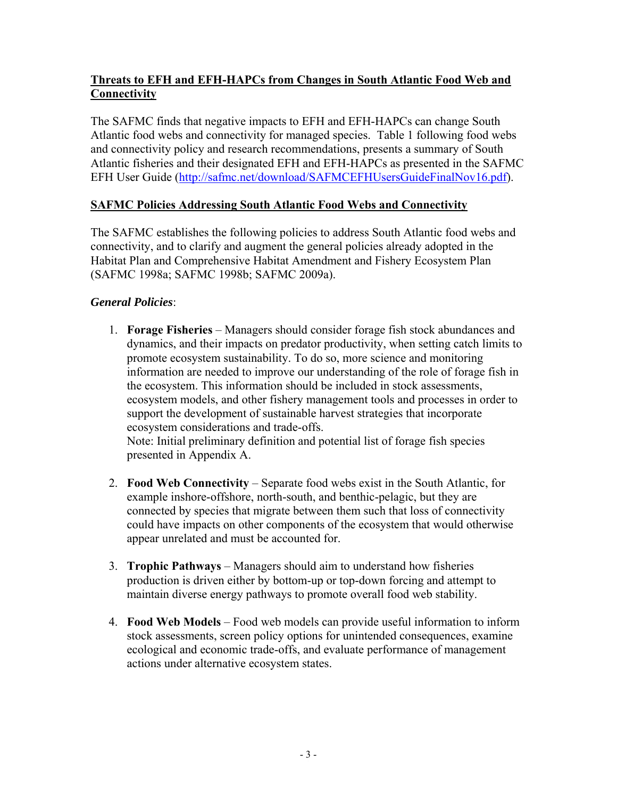# **Threats to EFH and EFH-HAPCs from Changes in South Atlantic Food Web and Connectivity**

The SAFMC finds that negative impacts to EFH and EFH-HAPCs can change South Atlantic food webs and connectivity for managed species. Table 1 following food webs and connectivity policy and research recommendations, presents a summary of South Atlantic fisheries and their designated EFH and EFH-HAPCs as presented in the SAFMC EFH User Guide (http://safmc.net/download/SAFMCEFHUsersGuideFinalNov16.pdf).

#### **SAFMC Policies Addressing South Atlantic Food Webs and Connectivity**

The SAFMC establishes the following policies to address South Atlantic food webs and connectivity, and to clarify and augment the general policies already adopted in the Habitat Plan and Comprehensive Habitat Amendment and Fishery Ecosystem Plan (SAFMC 1998a; SAFMC 1998b; SAFMC 2009a).

#### *General Policies*:

- 1. **Forage Fisheries** Managers should consider forage fish stock abundances and dynamics, and their impacts on predator productivity, when setting catch limits to promote ecosystem sustainability. To do so, more science and monitoring information are needed to improve our understanding of the role of forage fish in the ecosystem. This information should be included in stock assessments, ecosystem models, and other fishery management tools and processes in order to support the development of sustainable harvest strategies that incorporate ecosystem considerations and trade-offs. Note: Initial preliminary definition and potential list of forage fish species presented in Appendix A.
- 2. **Food Web Connectivity** Separate food webs exist in the South Atlantic, for example inshore-offshore, north-south, and benthic-pelagic, but they are connected by species that migrate between them such that loss of connectivity could have impacts on other components of the ecosystem that would otherwise appear unrelated and must be accounted for.
- 3. **Trophic Pathways** Managers should aim to understand how fisheries production is driven either by bottom-up or top-down forcing and attempt to maintain diverse energy pathways to promote overall food web stability.
- 4. **Food Web Models** Food web models can provide useful information to inform stock assessments, screen policy options for unintended consequences, examine ecological and economic trade-offs, and evaluate performance of management actions under alternative ecosystem states.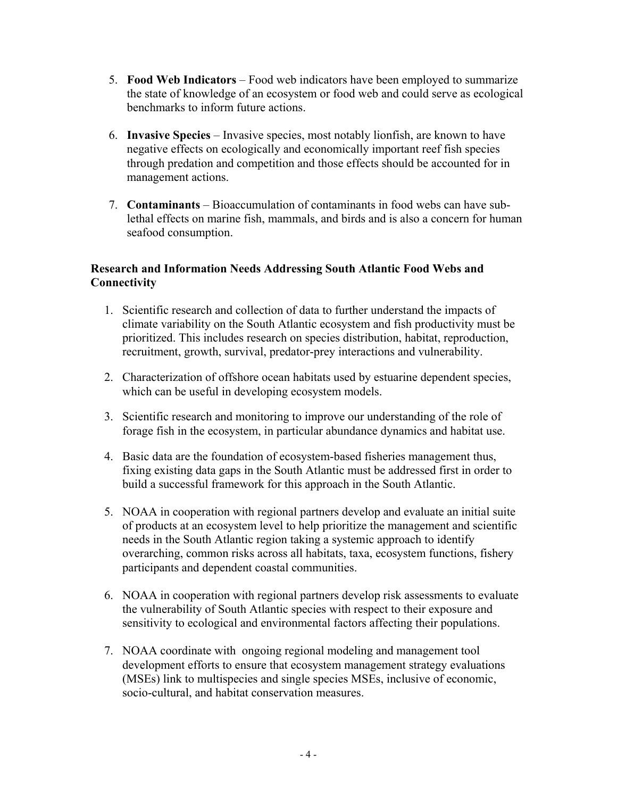- 5. **Food Web Indicators** Food web indicators have been employed to summarize the state of knowledge of an ecosystem or food web and could serve as ecological benchmarks to inform future actions.
- 6. **Invasive Species** Invasive species, most notably lionfish, are known to have negative effects on ecologically and economically important reef fish species through predation and competition and those effects should be accounted for in management actions.
- 7. **Contaminants** Bioaccumulation of contaminants in food webs can have sublethal effects on marine fish, mammals, and birds and is also a concern for human seafood consumption.

#### **Research and Information Needs Addressing South Atlantic Food Webs and Connectivity**

- 1. Scientific research and collection of data to further understand the impacts of climate variability on the South Atlantic ecosystem and fish productivity must be prioritized. This includes research on species distribution, habitat, reproduction, recruitment, growth, survival, predator-prey interactions and vulnerability.
- 2. Characterization of offshore ocean habitats used by estuarine dependent species, which can be useful in developing ecosystem models.
- 3. Scientific research and monitoring to improve our understanding of the role of forage fish in the ecosystem, in particular abundance dynamics and habitat use.
- 4. Basic data are the foundation of ecosystem-based fisheries management thus, fixing existing data gaps in the South Atlantic must be addressed first in order to build a successful framework for this approach in the South Atlantic.
- 5. NOAA in cooperation with regional partners develop and evaluate an initial suite of products at an ecosystem level to help prioritize the management and scientific needs in the South Atlantic region taking a systemic approach to identify overarching, common risks across all habitats, taxa, ecosystem functions, fishery participants and dependent coastal communities.
- 6. NOAA in cooperation with regional partners develop risk assessments to evaluate the vulnerability of South Atlantic species with respect to their exposure and sensitivity to ecological and environmental factors affecting their populations.
- 7. NOAA coordinate with ongoing regional modeling and management tool development efforts to ensure that ecosystem management strategy evaluations (MSEs) link to multispecies and single species MSEs, inclusive of economic, socio-cultural, and habitat conservation measures.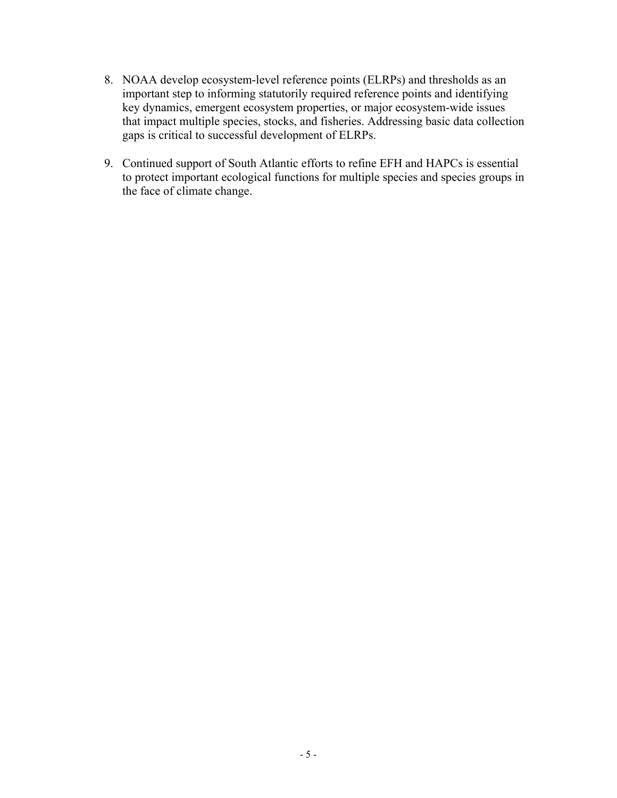- 8. NOAA develop ecosystem-level reference points (ELRPs) and thresholds as an important step to informing statutorily required reference points and identifying key dynamics, emergent ecosystem properties, or major ecosystem-wide issues that impact multiple species, stocks, and fisheries. Addressing basic data collection gaps is critical to successful development of ELRPs.
- 9. Continued support of South Atlantic efforts to refine EFH and HAPCs is essential to protect important ecological functions for multiple species and species groups in the face of climate change.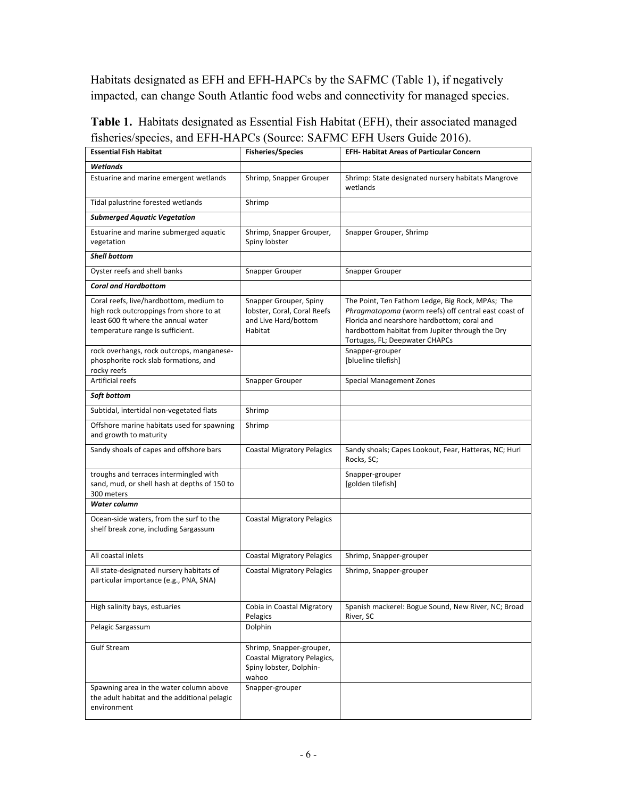Habitats designated as EFH and EFH-HAPCs by the SAFMC (Table 1), if negatively impacted, can change South Atlantic food webs and connectivity for managed species.

| <b>Essential Fish Habitat</b>                                                                                                                                                                              | <b>Fisheries/Species</b>                                                                    | <b>EFH- Habitat Areas of Particular Concern</b>                                                                                                                                                                                                                 |  |  |  |  |  |
|------------------------------------------------------------------------------------------------------------------------------------------------------------------------------------------------------------|---------------------------------------------------------------------------------------------|-----------------------------------------------------------------------------------------------------------------------------------------------------------------------------------------------------------------------------------------------------------------|--|--|--|--|--|
| Wetlands                                                                                                                                                                                                   |                                                                                             |                                                                                                                                                                                                                                                                 |  |  |  |  |  |
| Estuarine and marine emergent wetlands                                                                                                                                                                     | Shrimp, Snapper Grouper                                                                     | Shrimp: State designated nursery habitats Mangrove<br>wetlands                                                                                                                                                                                                  |  |  |  |  |  |
| Tidal palustrine forested wetlands                                                                                                                                                                         | Shrimp                                                                                      |                                                                                                                                                                                                                                                                 |  |  |  |  |  |
| <b>Submerged Aquatic Vegetation</b>                                                                                                                                                                        |                                                                                             |                                                                                                                                                                                                                                                                 |  |  |  |  |  |
| Estuarine and marine submerged aquatic<br>vegetation                                                                                                                                                       | Shrimp, Snapper Grouper,<br>Spiny lobster                                                   | Snapper Grouper, Shrimp                                                                                                                                                                                                                                         |  |  |  |  |  |
| <b>Shell bottom</b>                                                                                                                                                                                        |                                                                                             |                                                                                                                                                                                                                                                                 |  |  |  |  |  |
| Oyster reefs and shell banks                                                                                                                                                                               | Snapper Grouper                                                                             | <b>Snapper Grouper</b>                                                                                                                                                                                                                                          |  |  |  |  |  |
| <b>Coral and Hardbottom</b>                                                                                                                                                                                |                                                                                             |                                                                                                                                                                                                                                                                 |  |  |  |  |  |
| Coral reefs, live/hardbottom, medium to<br>high rock outcroppings from shore to at<br>least 600 ft where the annual water<br>temperature range is sufficient.<br>rock overhangs, rock outcrops, manganese- | Snapper Grouper, Spiny<br>lobster, Coral, Coral Reefs<br>and Live Hard/bottom<br>Habitat    | The Point, Ten Fathom Ledge, Big Rock, MPAs; The<br>Phragmatopoma (worm reefs) off central east coast of<br>Florida and nearshore hardbottom; coral and<br>hardbottom habitat from Jupiter through the Dry<br>Tortugas, FL; Deepwater CHAPCs<br>Snapper-grouper |  |  |  |  |  |
| phosphorite rock slab formations, and<br>rocky reefs                                                                                                                                                       |                                                                                             | [blueline tilefish]                                                                                                                                                                                                                                             |  |  |  |  |  |
| Artificial reefs                                                                                                                                                                                           | Snapper Grouper                                                                             | <b>Special Management Zones</b>                                                                                                                                                                                                                                 |  |  |  |  |  |
| Soft bottom                                                                                                                                                                                                |                                                                                             |                                                                                                                                                                                                                                                                 |  |  |  |  |  |
| Subtidal, intertidal non-vegetated flats                                                                                                                                                                   | Shrimp                                                                                      |                                                                                                                                                                                                                                                                 |  |  |  |  |  |
| Offshore marine habitats used for spawning<br>and growth to maturity                                                                                                                                       | Shrimp                                                                                      |                                                                                                                                                                                                                                                                 |  |  |  |  |  |
| Sandy shoals of capes and offshore bars                                                                                                                                                                    | <b>Coastal Migratory Pelagics</b>                                                           | Sandy shoals; Capes Lookout, Fear, Hatteras, NC; Hurl<br>Rocks, SC;                                                                                                                                                                                             |  |  |  |  |  |
| troughs and terraces intermingled with<br>sand, mud, or shell hash at depths of 150 to<br>300 meters<br>Water column                                                                                       |                                                                                             | Snapper-grouper<br>[golden tilefish]                                                                                                                                                                                                                            |  |  |  |  |  |
|                                                                                                                                                                                                            |                                                                                             |                                                                                                                                                                                                                                                                 |  |  |  |  |  |
| Ocean-side waters, from the surf to the<br>shelf break zone, including Sargassum                                                                                                                           | <b>Coastal Migratory Pelagics</b>                                                           |                                                                                                                                                                                                                                                                 |  |  |  |  |  |
| All coastal inlets                                                                                                                                                                                         | <b>Coastal Migratory Pelagics</b>                                                           | Shrimp, Snapper-grouper                                                                                                                                                                                                                                         |  |  |  |  |  |
| All state-designated nursery habitats of<br>particular importance (e.g., PNA, SNA)                                                                                                                         | <b>Coastal Migratory Pelagics</b>                                                           | Shrimp, Snapper-grouper                                                                                                                                                                                                                                         |  |  |  |  |  |
| High salinity bays, estuaries                                                                                                                                                                              | Cobia in Coastal Migratory<br>Pelagics                                                      | Spanish mackerel: Bogue Sound, New River, NC; Broad<br>River, SC                                                                                                                                                                                                |  |  |  |  |  |
| Pelagic Sargassum                                                                                                                                                                                          | Dolphin                                                                                     |                                                                                                                                                                                                                                                                 |  |  |  |  |  |
| <b>Gulf Stream</b>                                                                                                                                                                                         | Shrimp, Snapper-grouper,<br>Coastal Migratory Pelagics,<br>Spiny lobster, Dolphin-<br>wahoo |                                                                                                                                                                                                                                                                 |  |  |  |  |  |
| Spawning area in the water column above<br>the adult habitat and the additional pelagic<br>environment                                                                                                     | Snapper-grouper                                                                             |                                                                                                                                                                                                                                                                 |  |  |  |  |  |

**Table 1.** Habitats designated as Essential Fish Habitat (EFH), their associated managed fisheries/species, and EFH-HAPCs (Source: SAFMC EFH Users Guide 2016).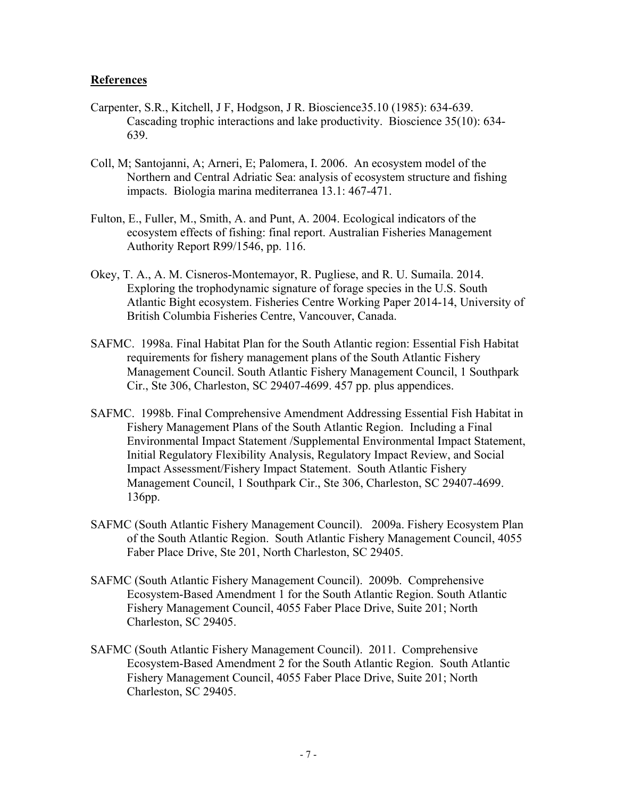#### **References**

- Carpenter, S.R., Kitchell, J F, Hodgson, J R. Bioscience35.10 (1985): 634-639. Cascading trophic interactions and lake productivity. Bioscience 35(10): 634- 639.
- Coll, M; Santojanni, A; Arneri, E; Palomera, I. 2006. An ecosystem model of the Northern and Central Adriatic Sea: analysis of ecosystem structure and fishing impacts. Biologia marina mediterranea 13.1: 467-471.
- Fulton, E., Fuller, M., Smith, A. and Punt, A. 2004. Ecological indicators of the ecosystem effects of fishing: final report. Australian Fisheries Management Authority Report R99/1546, pp. 116.
- Okey, T. A., A. M. Cisneros-Montemayor, R. Pugliese, and R. U. Sumaila. 2014. Exploring the trophodynamic signature of forage species in the U.S. South Atlantic Bight ecosystem. Fisheries Centre Working Paper 2014-14, University of British Columbia Fisheries Centre, Vancouver, Canada.
- SAFMC. 1998a. Final Habitat Plan for the South Atlantic region: Essential Fish Habitat requirements for fishery management plans of the South Atlantic Fishery Management Council. South Atlantic Fishery Management Council, 1 Southpark Cir., Ste 306, Charleston, SC 29407-4699. 457 pp. plus appendices.
- SAFMC. 1998b. Final Comprehensive Amendment Addressing Essential Fish Habitat in Fishery Management Plans of the South Atlantic Region. Including a Final Environmental Impact Statement /Supplemental Environmental Impact Statement, Initial Regulatory Flexibility Analysis, Regulatory Impact Review, and Social Impact Assessment/Fishery Impact Statement. South Atlantic Fishery Management Council, 1 Southpark Cir., Ste 306, Charleston, SC 29407-4699. 136pp.
- SAFMC (South Atlantic Fishery Management Council). 2009a. Fishery Ecosystem Plan of the South Atlantic Region. South Atlantic Fishery Management Council, 4055 Faber Place Drive, Ste 201, North Charleston, SC 29405.
- SAFMC (South Atlantic Fishery Management Council). 2009b. Comprehensive Ecosystem-Based Amendment 1 for the South Atlantic Region. South Atlantic Fishery Management Council, 4055 Faber Place Drive, Suite 201; North Charleston, SC 29405.
- SAFMC (South Atlantic Fishery Management Council). 2011. Comprehensive Ecosystem-Based Amendment 2 for the South Atlantic Region. South Atlantic Fishery Management Council, 4055 Faber Place Drive, Suite 201; North Charleston, SC 29405.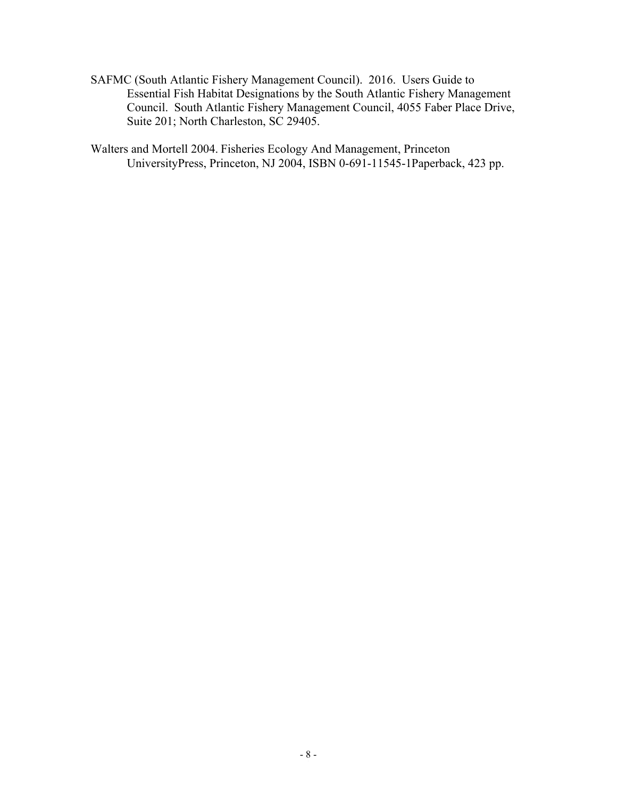SAFMC (South Atlantic Fishery Management Council). 2016. Users Guide to Essential Fish Habitat Designations by the South Atlantic Fishery Management Council. South Atlantic Fishery Management Council, 4055 Faber Place Drive, Suite 201; North Charleston, SC 29405.

Walters and Mortell 2004. Fisheries Ecology And Management, Princeton UniversityPress, Princeton, NJ 2004, ISBN 0-691-11545-1Paperback, 423 pp.